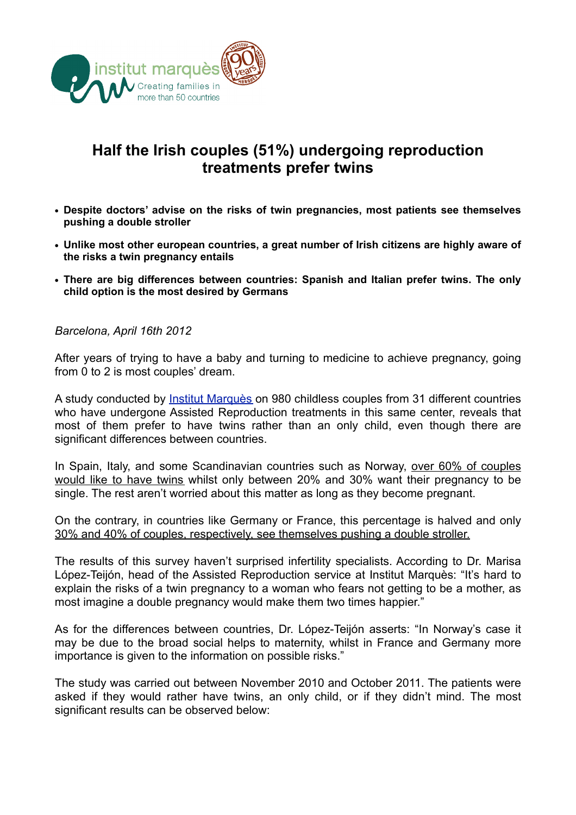

## **Half the Irish couples (51%) undergoing reproduction treatments prefer twins**

- **• Despite doctors' advise on the risks of twin pregnancies, most patients see themselves pushing a double stroller**
- **• Unlike most other european countries, a great number of Irish citizens are highly aware of the risks a twin pregnancy entails**
- **• There are big differences between countries: Spanish and Italian prefer twins. The only child option is the most desired by Germans**

*Barcelona, April 16th 2012*

After years of trying to have a baby and turning to medicine to achieve pregnancy, going from 0 to 2 is most couples' dream.

A study conducted by [Institut Marquès](http://www.institutmarques.com) on 980 childless couples from 31 different countries who have undergone Assisted Reproduction treatments in this same center, reveals that most of them prefer to have twins rather than an only child, even though there are significant differences between countries.

In Spain, Italy, and some Scandinavian countries such as Norway, over 60% of couples would like to have twins whilst only between 20% and 30% want their pregnancy to be single. The rest aren't worried about this matter as long as they become pregnant.

On the contrary, in countries like Germany or France, this percentage is halved and only 30% and 40% of couples, respectively, see themselves pushing a double stroller.

The results of this survey haven't surprised infertility specialists. According to Dr. Marisa López-Teijón, head of the Assisted Reproduction service at Institut Marquès: "It's hard to explain the risks of a twin pregnancy to a woman who fears not getting to be a mother, as most imagine a double pregnancy would make them two times happier."

As for the differences between countries, Dr. López-Teijón asserts: "In Norway's case it may be due to the broad social helps to maternity, whilst in France and Germany more importance is given to the information on possible risks."

The study was carried out between November 2010 and October 2011. The patients were asked if they would rather have twins, an only child, or if they didn't mind. The most significant results can be observed below: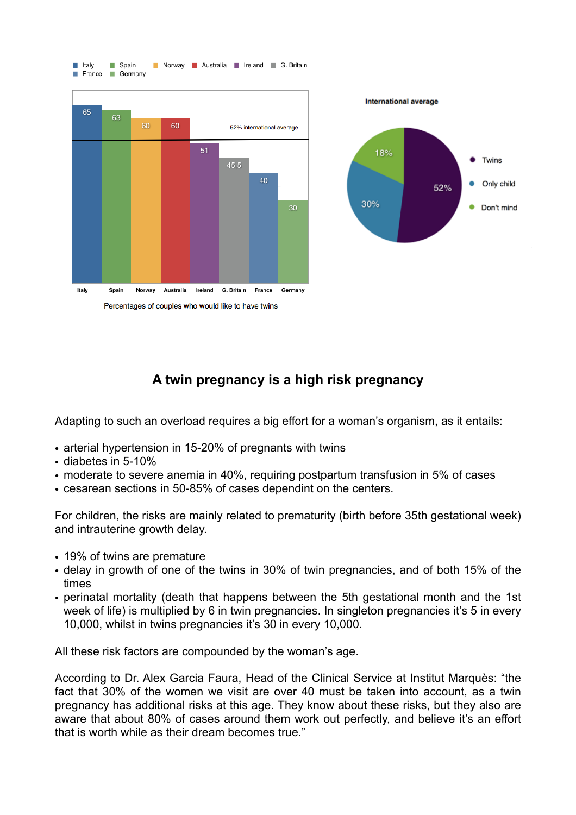

## **A twin pregnancy is a high risk pregnancy**

Adapting to such an overload requires a big effort for a woman's organism, as it entails:

- arterial hypertension in 15-20% of pregnants with twins
- diabetes in 5-10%
- moderate to severe anemia in 40%, requiring postpartum transfusion in 5% of cases
- cesarean sections in 50-85% of cases dependint on the centers.

For children, the risks are mainly related to prematurity (birth before 35th gestational week) and intrauterine growth delay.

- 19% of twins are premature
- delay in growth of one of the twins in 30% of twin pregnancies, and of both 15% of the times
- perinatal mortality (death that happens between the 5th gestational month and the 1st week of life) is multiplied by 6 in twin pregnancies. In singleton pregnancies it's 5 in every 10,000, whilst in twins pregnancies it's 30 in every 10,000.

All these risk factors are compounded by the woman's age.

According to Dr. Alex Garcia Faura, Head of the Clinical Service at Institut Marquès: "the fact that 30% of the women we visit are over 40 must be taken into account, as a twin pregnancy has additional risks at this age. They know about these risks, but they also are aware that about 80% of cases around them work out perfectly, and believe it's an effort that is worth while as their dream becomes true."